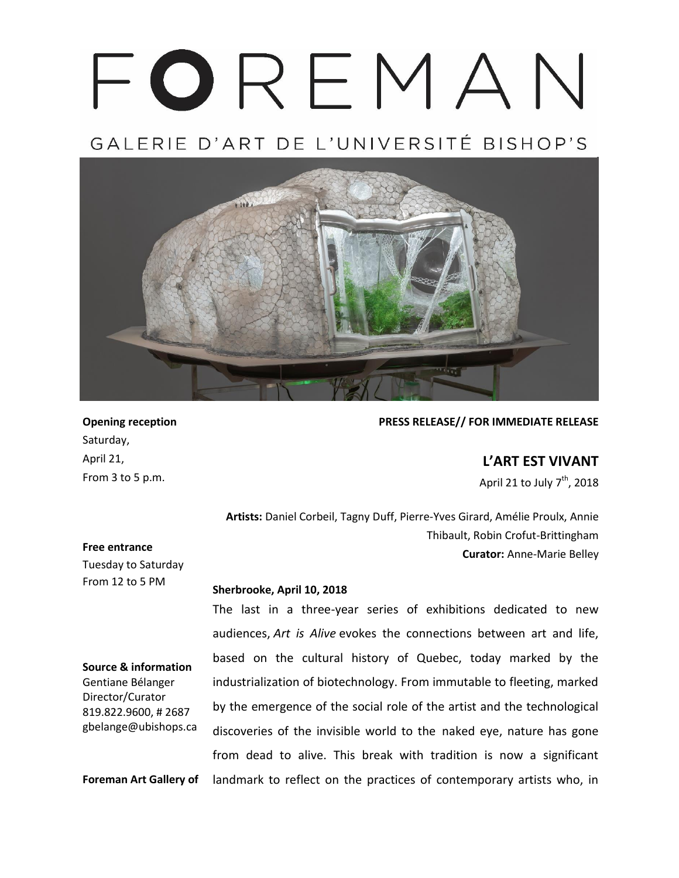# FOREMAN

GALERIE D'ART DE L'UNIVERSITÉ BISHOP'S



**Opening reception** Saturday, April 21, From 3 to 5 p.m.

# **PRESS RELEASE// FOR IMMEDIATE RELEASE**

**L'ART EST VIVANT**

April 21 to July 7<sup>th</sup>, 2018

**Artists:** Daniel Corbeil, Tagny Duff, Pierre-Yves Girard, Amélie Proulx, Annie Thibault, Robin Crofut-Brittingham **Curator:** Anne-Marie Belley

### **Free entrance**

Tuesday to Saturday From 12 to 5 PM

**Source & information** Gentiane Bélanger Director/Curator 819.822.9600, # 2687 gbelange@ubishops.ca

### **Sherbrooke, April 10, 2018**

The last in a three-year series of exhibitions dedicated to new audiences, *Art is Alive* evokes the connections between art and life, based on the cultural history of Quebec, today marked by the industrialization of biotechnology. From immutable to fleeting, marked by the emergence of the social role of the artist and the technological discoveries of the invisible world to the naked eye, nature has gone from dead to alive. This break with tradition is now a significant landmark to reflect on the practices of contemporary artists who, in

**Foreman Art Gallery of**